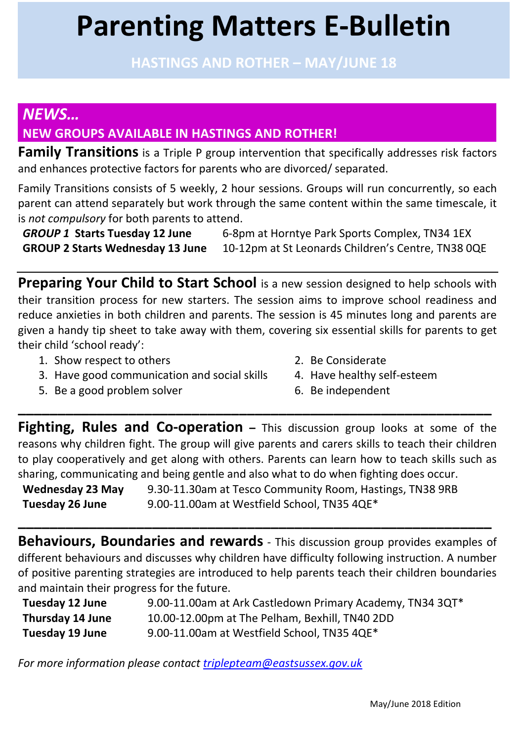# **Parenting Matters E-Bulletin**

**HASTINGS AND ROTHER – MAY/JUNE 18**

# *NEWS…* **NEW GROUPS AVAILABLE IN HASTINGS AND ROTHER!**

**Family Transitions** is a Triple P group intervention that specifically addresses risk factors and enhances protective factors for parents who are divorced/ separated.

Family Transitions consists of 5 weekly, 2 hour sessions. Groups will run concurrently, so each parent can attend separately but work through the same content within the same timescale, it is *not compulsory* for both parents to attend.

*GROUP 1* **Starts Tuesday 12 June** 6-8pm at Horntye Park Sports Complex, TN34 1EX **GROUP 2 Starts Wednesday 13 June** 10-12pm at St Leonards Children's Centre, TN38 0QE

**Preparing Your Child to Start School** is a new session designed to help schools with their transition process for new starters. The session aims to improve school readiness and reduce anxieties in both children and parents. The session is 45 minutes long and parents are given a handy tip sheet to take away with them, covering six essential skills for parents to get their child 'school ready':

- 1. Show respect to others 2. Be Considerate
- 3. Have good communication and social skills 4. Have healthy self-esteem
- 5. Be a good problem solver 100 minutes of the independent
- 
- -

**Fighting, Rules and Co-operation** – This discussion group looks at some of the reasons why children fight. The group will give parents and carers skills to teach their children to play cooperatively and get along with others. Parents can learn how to teach skills such as sharing, communicating and being gentle and also what to do when fighting does occur.

**\_\_\_\_\_\_\_\_\_\_\_\_\_\_\_\_\_\_\_\_\_\_\_\_\_\_\_\_\_\_\_\_\_\_\_\_\_\_\_\_\_\_\_\_\_\_\_\_\_\_\_\_\_\_\_\_\_\_\_\_**

**Wednesday 23 May Tuesday 26 June** 9.30-11.30am at Tesco Community Room, Hastings, TN38 9RB 9.00-11.00am at Westfield School, TN35 4QE\*

**Behaviours, Boundaries and rewards** - This discussion group provides examples of different behaviours and discusses why children have difficulty following instruction. A number of positive parenting strategies are introduced to help parents teach their children boundaries and maintain their progress for the future.

**\_\_\_\_\_\_\_\_\_\_\_\_\_\_\_\_\_\_\_\_\_\_\_\_\_\_\_\_\_\_\_\_\_\_\_\_\_\_\_\_\_\_\_\_\_\_\_\_\_\_\_\_\_\_\_\_\_\_\_\_**

| Tuesday 12 June         | 9.00-11.00am at Ark Castledown Primary Academy, TN34 3QT* |
|-------------------------|-----------------------------------------------------------|
| <b>Thursday 14 June</b> | 10.00-12.00pm at The Pelham, Bexhill, TN40 2DD            |
| <b>Tuesday 19 June</b>  | 9.00-11.00am at Westfield School, TN35 4QE*               |

*For more information please contact triplepteam@eastsussex.gov.uk*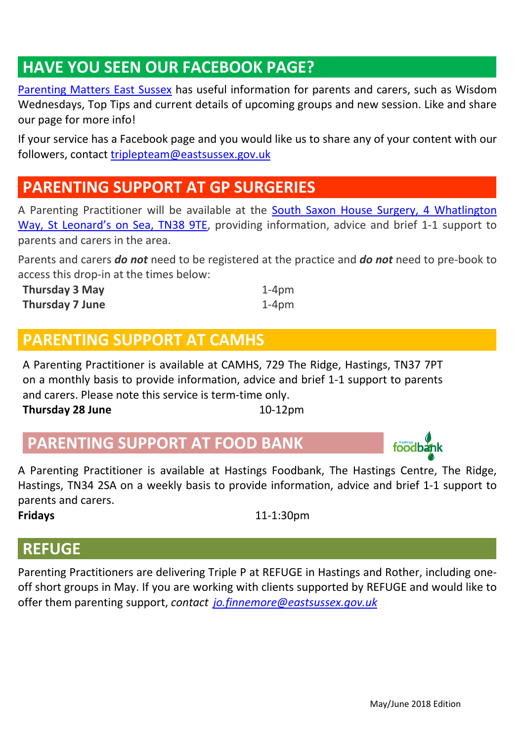# **HAVE YOU SEEN OUR FACEBOOK PAGE?**

Parenting Matters East Sussex has useful information for parents and carers, such as Wisdom Wednesdays, Top Tips and current details of upcoming groups and new session. Like and share our page for more info!

If your service has a Facebook page and you would like us to share any of your content with our followers, contact triplepteam@eastsussex.gov.uk

# **PARENTING SUPPORT AT GP SURGERIES**

A Parenting Practitioner will be available at the South Saxon House Surgery, 4 Whatlington Way, St Leonard's on Sea, TN38 9TE, providing information, advice and brief 1-1 support to parents and carers in the area.

Parents and carers *do not* need to be registered at the practice and *do not* need to pre-book to access this drop-in at the times below:

| <b>Thursday 3 May</b> | $1-4$ pm |
|-----------------------|----------|
| Thursday 7 June       | $1-4$ pm |

### **PARENTING SUPPORT AT CAMHS**

A Parenting Practitioner is available at CAMHS, 729 The Ridge, Hastings, TN37 7PT on a monthly basis to provide information, advice and brief 1-1 support to parents and carers. Please note this service is term-time only. **Thursday 28 June** 10-12pm

# **PARENTING SUPPORT AT FOOD BANK**

A Parenting Practitioner is available at Hastings Foodbank, The Hastings Centre, The Ridge, Hastings, TN34 2SA on a weekly basis to provide information, advice and brief 1-1 support to parents and carers.

**Fridays** 11-1:30pm

### **REFUGE**

Parenting Practitioners are delivering Triple P at REFUGE in Hastings and Rother, including oneoff short groups in May. If you are working with clients supported by REFUGE and would like to offer them parenting support, *contact jo.finnemore@eastsussex.gov.uk*

**foodbank**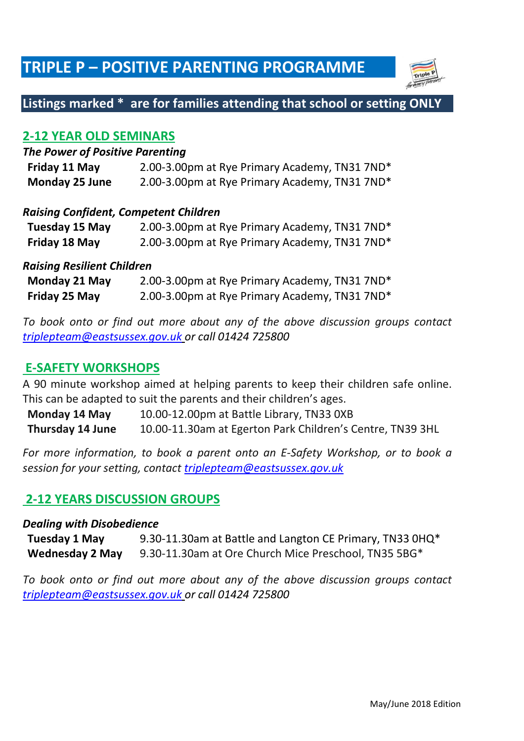# **TRIPLE P – POSITIVE PARENTING PROGRAMME**



### **Listings marked \* are for families attending that school or setting ONLY**

#### **2-12 YEAR OLD SEMINARS**

#### *The Power of Positive Parenting*

| Friday 11 May         | 2.00-3.00pm at Rye Primary Academy, TN31 7ND <sup>*</sup> |
|-----------------------|-----------------------------------------------------------|
| <b>Monday 25 June</b> | 2.00-3.00pm at Rye Primary Academy, TN31 7ND*             |

#### *Raising Confident, Competent Children*

| Tuesday 15 May | 2.00-3.00pm at Rye Primary Academy, TN31 7ND* |
|----------------|-----------------------------------------------|
| Friday 18 May  | 2.00-3.00pm at Rye Primary Academy, TN31 7ND* |

#### *Raising Resilient Children*

| Monday 21 May | 2.00-3.00pm at Rye Primary Academy, TN31 7ND* |
|---------------|-----------------------------------------------|
| Friday 25 May | 2.00-3.00pm at Rye Primary Academy, TN31 7ND* |

*To book onto or find out more about any of the above discussion groups contact triplepteam@eastsussex.gov.uk or call 01424 725800*

#### **E-SAFETY WORKSHOPS**

A 90 minute workshop aimed at helping parents to keep their children safe online. This can be adapted to suit the parents and their children's ages.

**Monday 14 May Thursday 14 June** 10.00-12.00pm at Battle Library, TN33 0XB 10.00-11.30am at Egerton Park Children's Centre, TN39 3HL

*For more information, to book a parent onto an E-Safety Workshop, or to book a session for your setting, contact triplepteam@eastsussex.gov.uk* 

#### **2-12 YEARS DISCUSSION GROUPS**

#### *Dealing with Disobedience*

**Tuesday 1 May Wednesday 2 May** 9.30-11.30am at Battle and Langton CE Primary, TN33 0HQ\* 9.30-11.30am at Ore Church Mice Preschool, TN35 5BG\*

*To book onto or find out more about any of the above discussion groups contact triplepteam@eastsussex.gov.uk or call 01424 725800*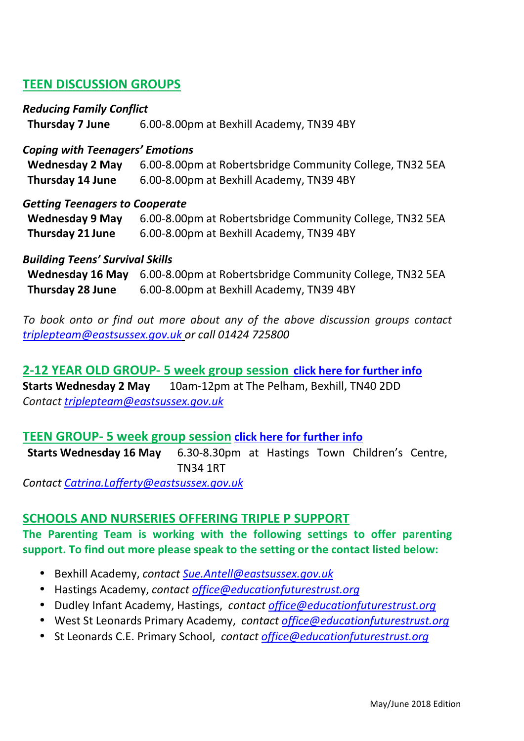#### **TEEN DISCUSSION GROUPS**

#### *Reducing Family Conflict*

**Thursday 7 June** 6.00-8.00pm at Bexhill Academy, TN39 4BY

#### *Coping with Teenagers' Emotions*

| Wednesday 2 May         | 6.00-8.00pm at Robertsbridge Community College, TN32 5EA |
|-------------------------|----------------------------------------------------------|
| <b>Thursday 14 June</b> | 6.00-8.00pm at Bexhill Academy, TN39 4BY                 |

#### *Getting Teenagers to Cooperate*

| <b>Wednesday 9 May</b>  | 6.00-8.00pm at Robertsbridge Community College, TN32 5EA |
|-------------------------|----------------------------------------------------------|
| <b>Thursday 21 June</b> | 6.00-8.00pm at Bexhill Academy, TN39 4BY                 |

#### *Building Teens' Survival Skills*

|                         | Wednesday 16 May 6.00-8.00pm at Robertsbridge Community College, TN32 5EA |
|-------------------------|---------------------------------------------------------------------------|
| <b>Thursday 28 June</b> | 6.00-8.00pm at Bexhill Academy, TN39 4BY                                  |

*To book onto or find out more about any of the above discussion groups contact triplepteam@eastsussex.gov.uk or call 01424 725800*

**2-12 YEAR OLD GROUP- 5 week group session click here for further info Starts Wednesday 2 May** 10am-12pm at The Pelham, Bexhill, TN40 2DD *Contact triplepteam@eastsussex.gov.uk*

#### **TEEN GROUP- 5 week group session click here for further info**

**Starts Wednesday 16 May** 6.30-8.30pm at Hastings Town Children's Centre, TN34 1RT

*Contact Catrina.Lafferty@eastsussex.gov.uk* 

#### **SCHOOLS AND NURSERIES OFFERING TRIPLE P SUPPORT**

#### **The Parenting Team is working with the following settings to offer parenting support. To find out more please speak to the setting or the contact listed below:**

- Bexhill Academy, *contact Sue.Antell@eastsussex.gov.uk*
- Hastings Academy, *contact office@educationfuturestrust.org*
- Dudley Infant Academy, Hastings, *contact office@educationfuturestrust.org*
- West St Leonards Primary Academy, *contact office@educationfuturestrust.org*
- St Leonards C.E. Primary School, *contact office@educationfuturestrust.org*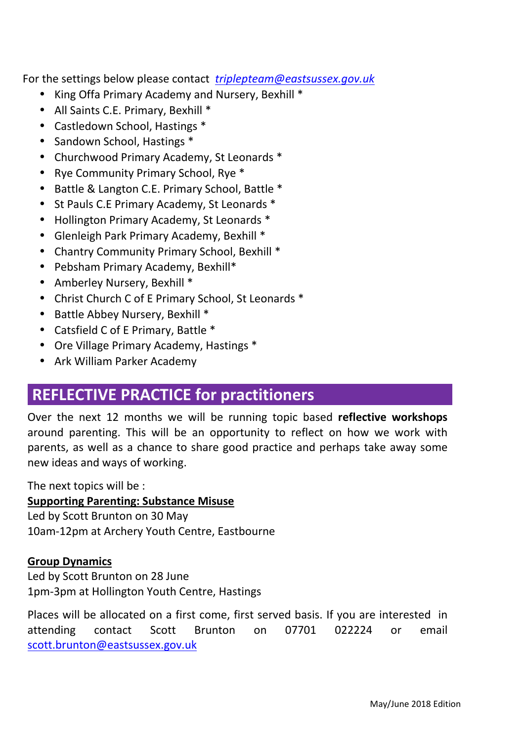For the settings below please contact *triplepteam@eastsussex.gov.uk*

- King Offa Primary Academy and Nursery, Bexhill \*
- All Saints C.E. Primary, Bexhill \*
- Castledown School, Hastings \*
- Sandown School, Hastings \*
- Churchwood Primary Academy, St Leonards \*
- Rye Community Primary School, Rye \*
- Battle & Langton C.E. Primary School, Battle \*
- St Pauls C.E Primary Academy, St Leonards \*
- Hollington Primary Academy, St Leonards \*
- Glenleigh Park Primary Academy, Bexhill \*
- Chantry Community Primary School, Bexhill \*
- Pebsham Primary Academy, Bexhill\*
- Amberley Nursery, Bexhill \*
- Christ Church C of E Primary School, St Leonards \*
- Battle Abbey Nursery, Bexhill \*
- Catsfield C of E Primary, Battle \*
- Ore Village Primary Academy, Hastings \*
- Ark William Parker Academy

# **REFLECTIVE PRACTICE for practitioners**

Over the next 12 months we will be running topic based **reflective workshops** around parenting. This will be an opportunity to reflect on how we work with parents, as well as a chance to share good practice and perhaps take away some new ideas and ways of working.

The next topics will be :

#### **Supporting Parenting: Substance Misuse**

Led by Scott Brunton on 30 May 10am-12pm at Archery Youth Centre, Eastbourne

#### **Group Dynamics**

Led by Scott Brunton on 28 June 1pm-3pm at Hollington Youth Centre, Hastings

Places will be allocated on a first come, first served basis. If you are interested in attending contact Scott Brunton on 07701 022224 or email scott.brunton@eastsussex.gov.uk